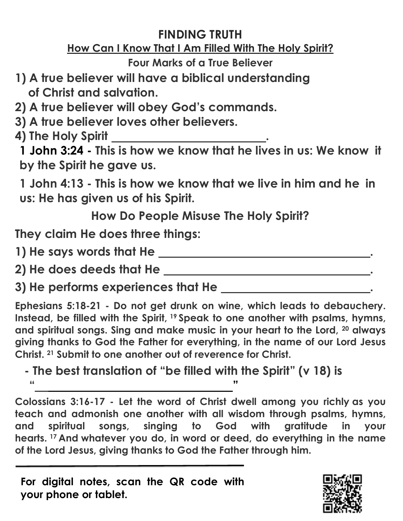## **FINDING TRUTH**

## **How Can I Know That I Am Filled With The Holy Spirit?**

**Four Marks of a True Believer**

- **1) A true believer will have a biblical understanding of Christ and salvation.**
- **2) A true believer will obey God's commands.**
- **3) A true believer loves other believers.**
- **4) The Holy Spirit .**

**1 John 3:24 - This is how we know that he lives in us: We know it by the Spirit he gave us.**

**1 John 4:13 - This is how we know that we live in him and he in us: He has given us of his Spirit.**

**How Do People Misuse The Holy Spirit?**

**They claim He does three things:** 

**1) He says words that He .**

**2) He does deeds that He .**

**3) He performs experiences that He .**

**Ephesians 5:18-21 - Do not get drunk on wine, which leads to debauchery. Instead, be filled with the Spirit, <sup>19</sup> Speak to one another with psalms, hymns, and spiritual songs. Sing and make music in your heart to the Lord, 20 always giving thanks to God the Father for everything, in the name of our Lord Jesus Christ. <sup>21</sup> Submit to one another out of reverence for Christ.**

**- The best translation of "be filled with the Spirit" (v 18) is " "**

**Colossians 3:16-17 - Let the word of Christ dwell among you richly as you teach and admonish one another with all wisdom through psalms, hymns, and spiritual songs, singing to God with gratitude in your hearts. <sup>17</sup> And whatever you do, in word or deed, do everything in the name of the Lord Jesus, giving thanks to God the Father through him.**